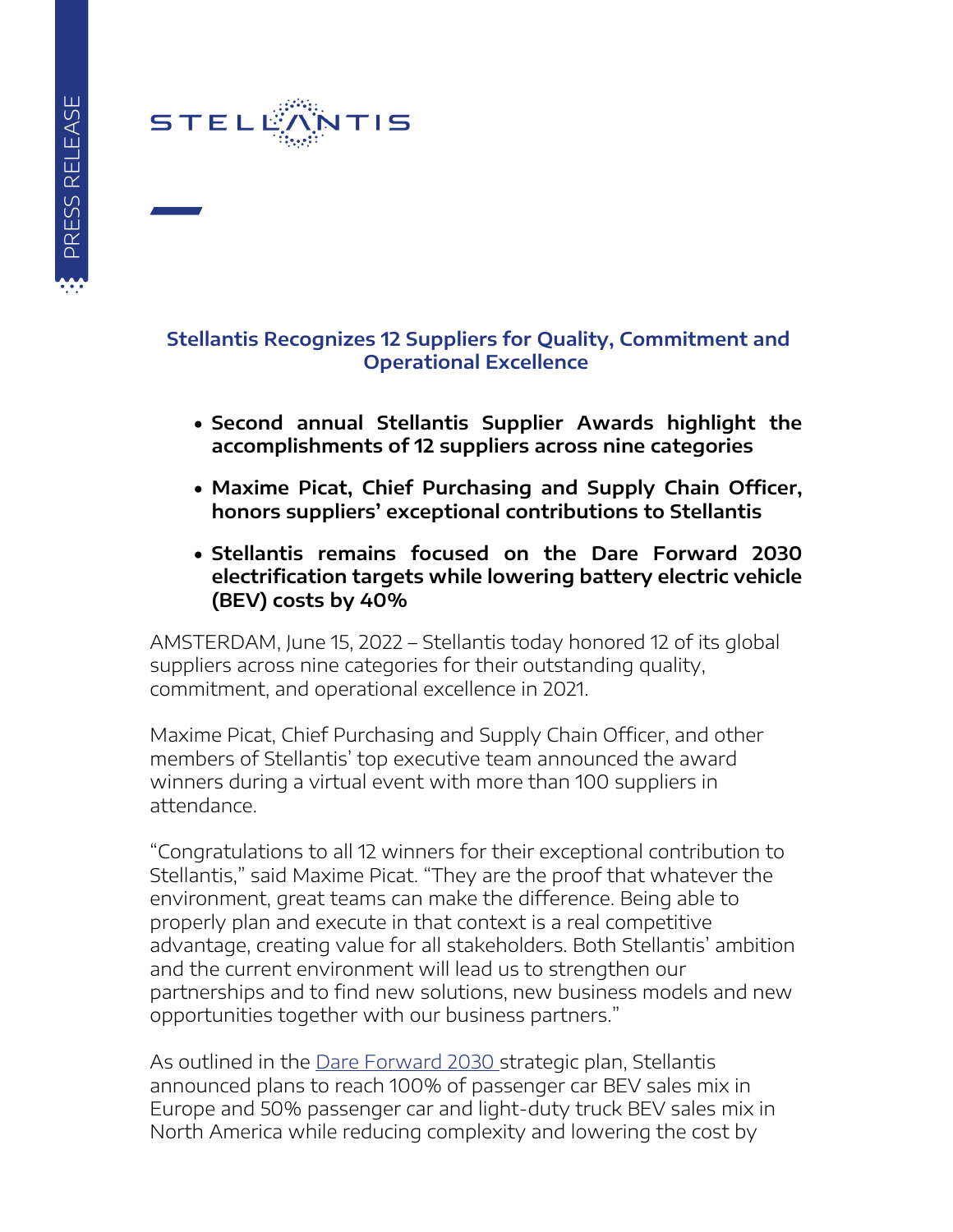

#### **Stellantis Recognizes 12 Suppliers for Quality, Commitment and Operational Excellence**

- **Second annual Stellantis Supplier Awards highlight the accomplishments of 12 suppliers across nine categories**
- **Maxime Picat, Chief Purchasing and Supply Chain Officer, honors suppliers' exceptional contributions to Stellantis**
- **Stellantis remains focused on the Dare Forward 2030 electrification targets while lowering battery electric vehicle (BEV) costs by 40%**

AMSTERDAM, June 15, 2022 – Stellantis today honored 12 of its global suppliers across nine categories for their outstanding quality, commitment, and operational excellence in 2021.

Maxime Picat, Chief Purchasing and Supply Chain Officer, and other members of Stellantis' top executive team announced the award winners during a virtual event with more than 100 suppliers in attendance.

"Congratulations to all 12 winners for their exceptional contribution to Stellantis," said Maxime Picat. "They are the proof that whatever the environment, great teams can make the difference. Being able to properly plan and execute in that context is a real competitive advantage, creating value for all stakeholders. Both Stellantis' ambition and the current environment will lead us to strengthen our partnerships and to find new solutions, new business models and new opportunities together with our business partners."

As outlined in the [Dare Forward 2030](https://www.stellantis.com/en/investors/events/strategic-plan) strategic plan, Stellantis announced plans to reach 100% of passenger car BEV sales mix in Europe and 50% passenger car and light-duty truck BEV sales mix in North America while reducing complexity and lowering the cost by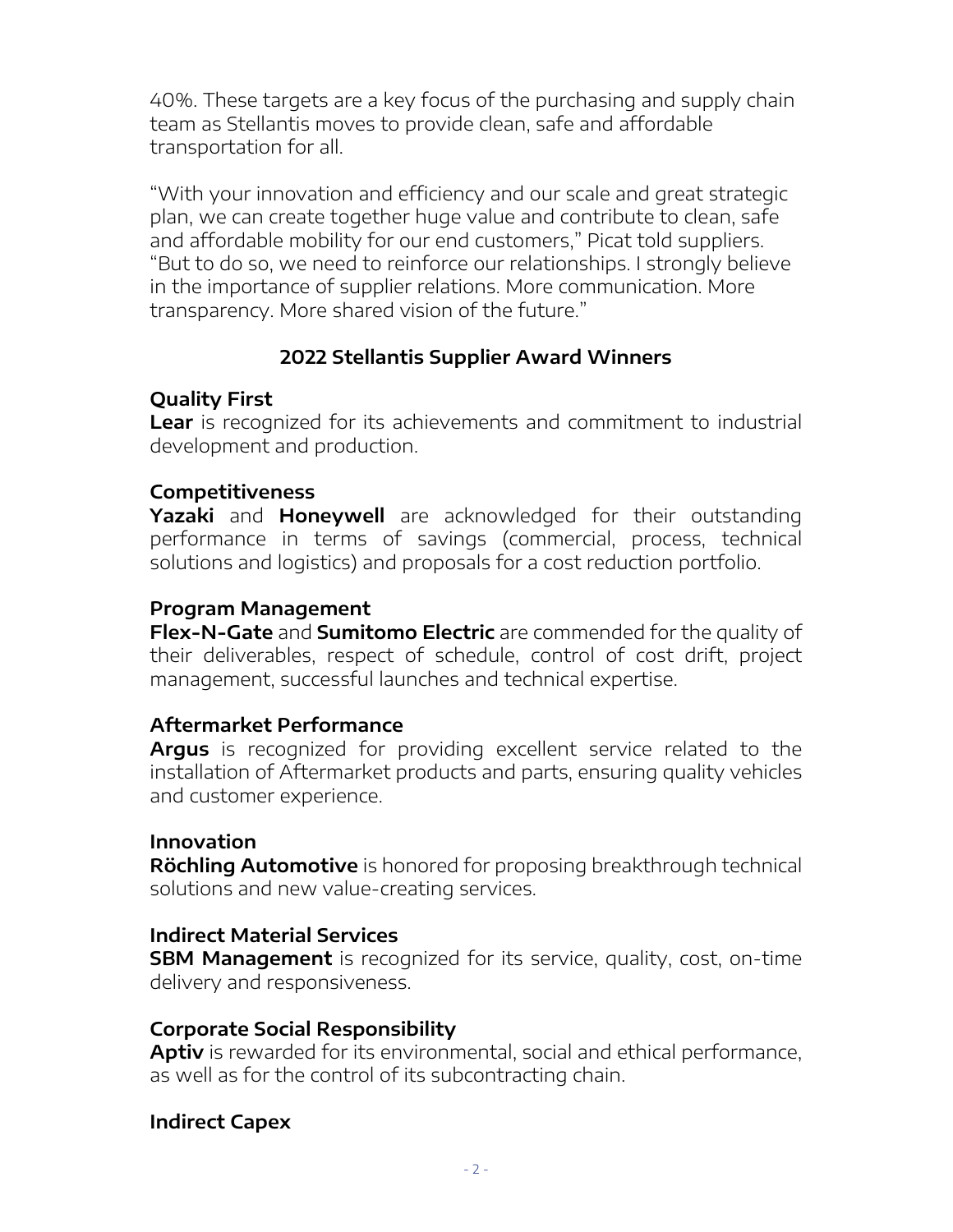40%. These targets are a key focus of the purchasing and supply chain team as Stellantis moves to provide clean, safe and affordable transportation for all.

"With your innovation and efficiency and our scale and great strategic plan, we can create together huge value and contribute to clean, safe and affordable mobility for our end customers," Picat told suppliers. "But to do so, we need to reinforce our relationships. I strongly believe in the importance of supplier relations. More communication. More transparency. More shared vision of the future."

# **2022 Stellantis Supplier Award Winners**

### **Quality First**

**Lear** is recognized for its achievements and commitment to industrial development and production.

### **Competitiveness**

**Yazaki** and **Honeywell** are acknowledged for their outstanding performance in terms of savings (commercial, process, technical solutions and logistics) and proposals for a cost reduction portfolio.

# **Program Management**

**Flex-N-Gate** and **Sumitomo Electric** are commended for the quality of their deliverables, respect of schedule, control of cost drift, project management, successful launches and technical expertise.

### **Aftermarket Performance**

**Argus** is recognized for providing excellent service related to the installation of Aftermarket products and parts, ensuring quality vehicles and customer experience.

### **Innovation**

**Röchling Automotive** is honored for proposing breakthrough technical solutions and new value-creating services.

### **Indirect Material Services**

**SBM Management** is recognized for its service, quality, cost, on-time delivery and responsiveness.

### **Corporate Social Responsibility**

**Aptiv** is rewarded for its environmental, social and ethical performance, as well as for the control of its subcontracting chain.

### **Indirect Capex**